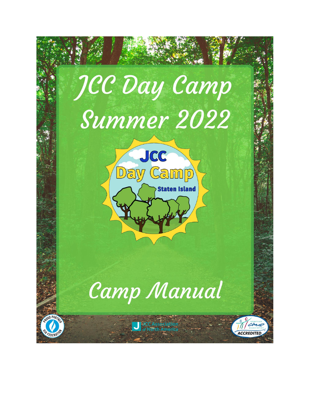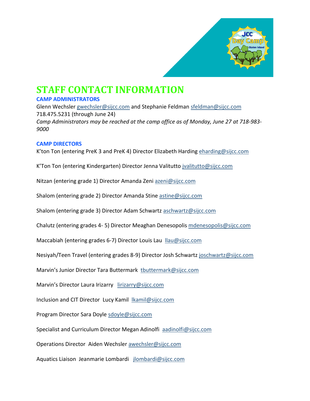

# **STAFF CONTACT INFORMATION**

#### **CAMP ADMINISTRATORS**

Glenn Wechsler [gwechsler@sijcc.com](mailto:gwechsler@sijcc.com) and Stephanie Feldman [sfeldman@sijcc.com](mailto:sfeldman@sijcc.com) 718.475.5231 (through June 24) *Camp Administrators may be reached at the camp office as of Monday, June 27 at 718-983- 9000*

#### **CAMP DIRECTORS**

K'ton Ton (entering PreK 3 and PreK 4) Director Elizabeth Harding [eharding@sijcc.com](mailto:eharding@sijcc.com)

K'Ton Ton (entering Kindergarten) Director Jenna Valitutto *jvalitutto@sijcc.com* 

Nitzan (entering grade 1) Director Amanda Zeni [azeni@sijcc.com](mailto:azeni@sijcc.com)

Shalom (entering grade 2) Director Amanda Stine [astine@sijcc.com](mailto:astine@sijcc.com)

Shalom (entering grade 3) Director Adam Schwartz [aschwartz@sijcc.com](mailto:aschwartz@sijcc.com)

Chalutz (entering grades 4- 5) Director Meaghan Denesopolis [mdenesopolis@sijcc.com](mailto:mdenesopolis@sijcc.com)

Maccabiah (entering grades 6-7) Director Louis Lau [llau@sijcc.com](mailto:llau@sijcc.com)

Nesiyah/Teen Travel (entering grades 8-9) Director Josh Schwartz [joschwartz@sijcc.com](mailto:joschwartz@sijcc.com)

Marvin's Junior Director Tara Buttermark [tbuttermark@sijcc.com](mailto:tbuttermark@sijcc.com)

Marvin's Director Laura Irizarry [lirizarry@sijcc.com](mailto:lirizarry@sijcc.com)

Inclusion and CIT Director Lucy Kamil **Ikamil@sijcc.com** 

Program Director Sara Doyle [sdoyle@sijcc.com](mailto:sdoyle@sijcc.com) 

Specialist and Curriculum Director Megan Adinolfi [aadinolfi@sijcc.com](mailto:aadinolfi@sijcc.com)

Operations Director Aiden Wechsle[r awechsler@sijcc.com](mailto:awechsler@sijcc.com)

Aquatics Liaison Jeanmarie Lombardi [jlombardi@sijcc.com](mailto:jlombardi@sijcc.com)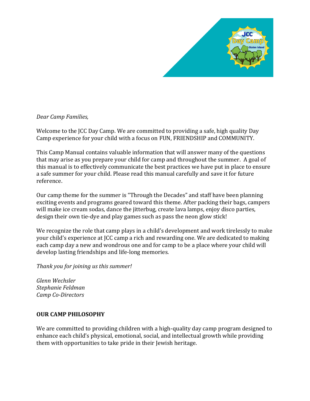

#### *Dear Camp Families,*

Welcome to the JCC Day Camp. We are committed to providing a safe, high quality Day Camp experience for your child with a focus on FUN, FRIENDSHIP and COMMUNITY.

This Camp Manual contains valuable information that will answer many of the questions that may arise as you prepare your child for camp and throughout the summer. A goal of this manual is to effectively communicate the best practices we have put in place to ensure a safe summer for your child. Please read this manual carefully and save it for future reference.

Our camp theme for the summer is "Through the Decades" and staff have been planning exciting events and programs geared toward this theme. After packing their bags, campers will make ice cream sodas, dance the jitterbug, create lava lamps, enjoy disco parties, design their own tie-dye and play games such as pass the neon glow stick!

We recognize the role that camp plays in a child's development and work tirelessly to make your child's experience at JCC camp a rich and rewarding one. We are dedicated to making each camp day a new and wondrous one and for camp to be a place where your child will develop lasting friendships and life-long memories.

*Thank you for joining us this summer!*

*Glenn Wechsler Stephanie Feldman Camp Co-Directors*

#### **OUR CAMP PHILOSOPHY**

We are committed to providing children with a high-quality day camp program designed to enhance each child's physical, emotional, social, and intellectual growth while providing them with opportunities to take pride in their Jewish heritage.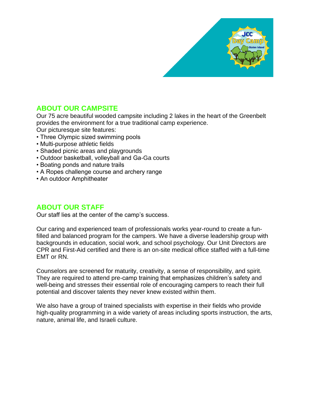

# **ABOUT OUR CAMPSITE**

Our 75 acre beautiful wooded campsite including 2 lakes in the heart of the Greenbelt provides the environment for a true traditional camp experience.

Our picturesque site features:

- Three Olympic sized swimming pools
- Multi-purpose athletic fields
- Shaded picnic areas and playgrounds
- Outdoor basketball, volleyball and Ga-Ga courts
- Boating ponds and nature trails
- A Ropes challenge course and archery range
- An outdoor Amphitheater

# **ABOUT OUR STAFF**

Our staff lies at the center of the camp's success.

Our caring and experienced team of professionals works year-round to create a funfilled and balanced program for the campers. We have a diverse leadership group with backgrounds in education, social work, and school psychology. Our Unit Directors are CPR and First-Aid certified and there is an on-site medical office staffed with a full-time EMT or RN.

Counselors are screened for maturity, creativity, a sense of responsibility, and spirit. They are required to attend pre-camp training that emphasizes children's safety and well-being and stresses their essential role of encouraging campers to reach their full potential and discover talents they never knew existed within them.

We also have a group of trained specialists with expertise in their fields who provide high-quality programming in a wide variety of areas including sports instruction, the arts, nature, animal life, and Israeli culture.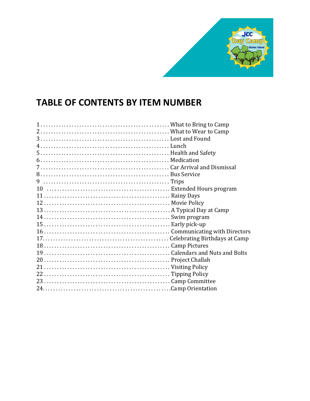

# **TABLE OF CONTENTS BY ITEM NUMBER**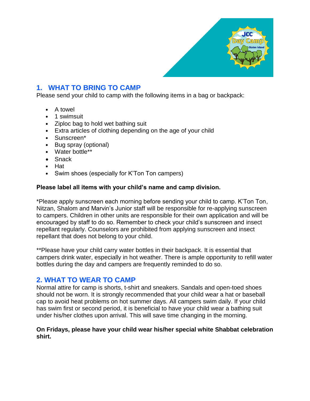

# **1. WHAT TO BRING TO CAMP**

Please send your child to camp with the following items in a bag or backpack:

- A towel
- 1 swimsuit
- Ziploc bag to hold wet bathing suit
- Extra articles of clothing depending on the age of your child
- Sunscreen\*
- Bug spray (optional)
- Water bottle\*\*
- Snack
- Hat
- Swim shoes (especially for K'Ton Ton campers)

#### **Please label all items with your child's name and camp division.**

\*Please apply sunscreen each morning before sending your child to camp. K'Ton Ton, Nitzan, Shalom and Marvin's Junior staff will be responsible for re-applying sunscreen to campers. Children in other units are responsible for their own application and will be encouraged by staff to do so. Remember to check your child's sunscreen and insect repellant regularly. Counselors are prohibited from applying sunscreen and insect repellant that does not belong to your child.

\*\*Please have your child carry water bottles in their backpack. It is essential that campers drink water, especially in hot weather. There is ample opportunity to refill water bottles during the day and campers are frequently reminded to do so.

#### **2. WHAT TO WEAR TO CAMP**

Normal attire for camp is shorts, t-shirt and sneakers. Sandals and open-toed shoes should not be worn. It is strongly recommended that your child wear a hat or baseball cap to avoid heat problems on hot summer days. All campers swim daily. If your child has swim first or second period, it is beneficial to have your child wear a bathing suit under his/her clothes upon arrival. This will save time changing in the morning.

#### **On Fridays, please have your child wear his/her special white Shabbat celebration shirt.**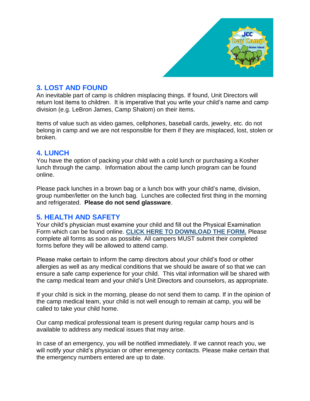

# **3. LOST AND FOUND**

An inevitable part of camp is children misplacing things. If found, Unit Directors will return lost items to children. It is imperative that you write your child's name and camp division (e.g. LeBron James, Camp Shalom) on their items.

Items of value such as video games, cellphones, baseball cards, jewelry, etc. do not belong in camp and we are not responsible for them if they are misplaced, lost, stolen or broken.

# **4. LUNCH**

You have the option of packing your child with a cold lunch or purchasing a Kosher lunch through the camp. Information about the camp lunch program can be found online.

Please pack lunches in a brown bag or a lunch box with your child's name, division, group number/letter on the lunch bag. Lunches are collected first thing in the morning and refrigerated. **Please do not send glassware**.

# **5. HEALTH AND SAFETY**

Your child's physician must examine your child and fill out the Physical Examination Form which can be found online. **[CLICK HERE TO DOWNLOAD THE FORM.](https://www.sijcc.org/uploads/1/2/2/7/122792762/camp_health_form.pdf)** Please complete all forms as soon as possible. All campers MUST submit their completed forms before they will be allowed to attend camp.

Please make certain to inform the camp directors about your child's food or other allergies as well as any medical conditions that we should be aware of so that we can ensure a safe camp experience for your child. This vital information will be shared with the camp medical team and your child's Unit Directors and counselors, as appropriate.

If your child is sick in the morning, please do not send them to camp. If in the opinion of the camp medical team, your child is not well enough to remain at camp, you will be called to take your child home.

Our camp medical professional team is present during regular camp hours and is available to address any medical issues that may arise.

In case of an emergency, you will be notified immediately. If we cannot reach you, we will notify your child's physician or other emergency contacts. Please make certain that the emergency numbers entered are up to date.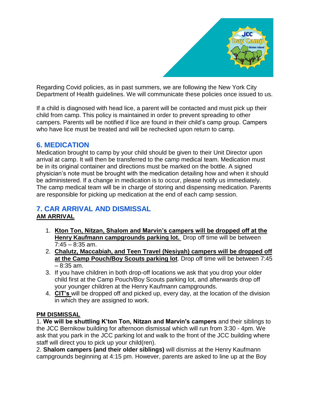

Regarding Covid policies, as in past summers, we are following the New York City Department of Health guidelines. We will communicate these policies once issued to us.

If a child is diagnosed with head lice, a parent will be contacted and must pick up their child from camp. This policy is maintained in order to prevent spreading to other campers. Parents will be notified if lice are found in their child's camp group. Campers who have lice must be treated and will be rechecked upon return to camp.

# **6. MEDICATION**

Medication brought to camp by your child should be given to their Unit Director upon arrival at camp. It will then be transferred to the camp medical team. Medication must be in its original container and directions must be marked on the bottle. A signed physician's note must be brought with the medication detailing how and when it should be administered. If a change in medication is to occur, please notify us immediately. The camp medical team will be in charge of storing and dispensing medication. Parents are responsible for picking up medication at the end of each camp session.

# **7. CAR ARRIVAL AND DISMISSAL**

# **AM ARRIVAL**

- 1. **Kton Ton, Nitzan, Shalom and Marvin's campers will be dropped off at the Henry Kaufmann campgrounds parking lot.** Drop off time will be between  $7:45 - 8:35$  am.
- 2. **Chalutz, Maccabiah, and Teen Travel (Nesiyah) campers will be dropped off at the Camp Pouch/Boy Scouts parking lot**. Drop off time will be between 7:45 – 8:35 am.
- 3. If you have children in both drop-off locations we ask that you drop your older child first at the Camp Pouch/Boy Scouts parking lot, and afterwards drop off your younger children at the Henry Kaufmann campgrounds.
- 4. **CIT's** will be dropped off and picked up, every day, at the location of the division in which they are assigned to work.

#### **PM DISMISSAL**

1. **We will be shuttling K'ton Ton, Nitzan and Marvin's campers** and their siblings to the JCC Bernikow building for afternoon dismissal which will run from 3:30 - 4pm. We ask that you park in the JCC parking lot and walk to the front of the JCC building where staff will direct you to pick up your child(ren).

2. **Shalom campers (and their older siblings)** will dismiss at the Henry Kaufmann campgrounds beginning at 4:15 pm. However, parents are asked to line up at the Boy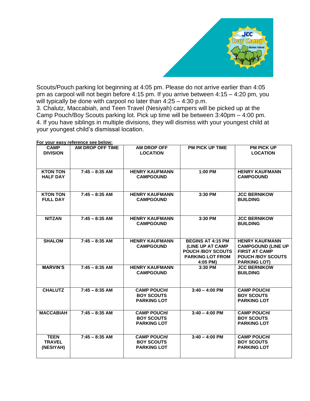

Scouts/Pouch parking lot beginning at 4:05 pm. Please do not arrive earlier than 4:05 pm as carpool will not begin before 4:15 pm. If you arrive between 4:15 – 4:20 pm, you will typically be done with carpool no later than  $4:25 - 4:30$  p.m.

3. Chalutz, Maccabiah, and Teen Travel (Nesiyah) campers will be picked up at the Camp Pouch/Boy Scouts parking lot. Pick up time will be between 3:40pm – 4:00 pm. 4. If you have siblings in multiple divisions, they will dismiss with your youngest child at your youngest child's dismissal location.

| <b>CAMP</b><br><b>DIVISION</b>            | AM DROP OFF TIME | AM DROP OFF<br><b>LOCATION</b>                                | <b>PM PICK UP TIME</b>                                                                                          | <b>PM PICK UP</b><br><b>LOCATION</b>                                                                                          |
|-------------------------------------------|------------------|---------------------------------------------------------------|-----------------------------------------------------------------------------------------------------------------|-------------------------------------------------------------------------------------------------------------------------------|
| <b>KTON TON</b><br><b>HALF DAY</b>        | $7:45 - 8:35$ AM | <b>HENRY KAUFMANN</b><br><b>CAMPGOUND</b>                     | 1:00 PM                                                                                                         | <b>HENRY KAUFMANN</b><br><b>CAMPGOUND</b>                                                                                     |
| <b>KTON TON</b><br><b>FULL DAY</b>        | $7:45 - 8:35$ AM | <b>HENRY KAUFMANN</b><br><b>CAMPGOUND</b>                     | 3:30 PM                                                                                                         | <b>JCC BERNIKOW</b><br><b>BUILDING</b>                                                                                        |
| <b>NITZAN</b>                             | $7:45 - 8:35$ AM | <b>HENRY KAUFMANN</b><br><b>CAMPGOUND</b>                     | 3:30 PM                                                                                                         | <b>JCC BERNIKOW</b><br><b>BUILDING</b>                                                                                        |
| <b>SHALOM</b>                             | $7:45 - 8:35$ AM | <b>HENRY KAUFMANN</b><br><b>CAMPGOUND</b>                     | <b>BEGINS AT 4:15 PM</b><br>(LINE UP AT CAMP<br><b>POUCH /BOY SCOUTS</b><br><b>PARKING LOT FROM</b><br>4:05 PM) | <b>HENRY KAUFMANN</b><br><b>CAMPGOUND (LINE UP</b><br><b>FIRST AT CAMP</b><br><b>POUCH /BOY SCOUTS</b><br><b>PARKING LOT)</b> |
| <b>MARVIN'S</b>                           | $7:45 - 8:35$ AM | <b>HENRY KAUFMANN</b><br><b>CAMPGOUND</b>                     | 3:30 PM                                                                                                         | <b>JCC BERNIKOW</b><br><b>BUILDING</b>                                                                                        |
| <b>CHALUTZ</b>                            | $7:45 - 8:35$ AM | <b>CAMP POUCH/</b><br><b>BOY SCOUTS</b><br><b>PARKING LOT</b> | $3:40 - 4:00$ PM                                                                                                | <b>CAMP POUCH/</b><br><b>BOY SCOUTS</b><br><b>PARKING LOT</b>                                                                 |
| <b>MACCABIAH</b>                          | $7:45 - 8:35$ AM | <b>CAMP POUCH/</b><br><b>BOY SCOUTS</b><br><b>PARKING LOT</b> | $3:40 - 4:00$ PM                                                                                                | <b>CAMP POUCH/</b><br><b>BOY SCOUTS</b><br><b>PARKING LOT</b>                                                                 |
| <b>TEEN</b><br><b>TRAVEL</b><br>(NESIYAH) | $7:45 - 8:35$ AM | <b>CAMP POUCH/</b><br><b>BOY SCOUTS</b><br><b>PARKING LOT</b> | $3:40 - 4:00$ PM                                                                                                | <b>CAMP POUCH/</b><br><b>BOY SCOUTS</b><br><b>PARKING LOT</b>                                                                 |

**For your easy reference see below:**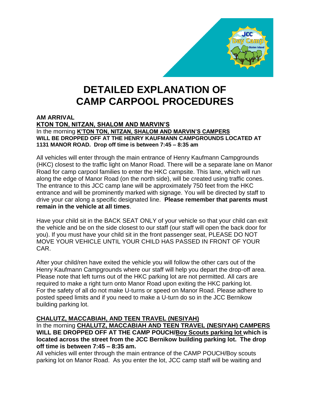

# **DETAILED EXPLANATION OF CAMP CARPOOL PROCEDURES**

#### **AM ARRIVAL**

**KTON TON, NITZAN, SHALOM AND MARVIN'S**  In the morning **K'TON TON, NITZAN, SHALOM AND MARVIN'S CAMPERS WILL BE DROPPED OFF AT THE HENRY KAUFMANN CAMPGROUNDS LOCATED AT 1131 MANOR ROAD. Drop off time is between 7:45 – 8:35 am**

All vehicles will enter through the main entrance of Henry Kaufmann Campgrounds (HKC) closest to the traffic light on Manor Road. There will be a separate lane on Manor Road for camp carpool families to enter the HKC campsite. This lane, which will run along the edge of Manor Road (on the north side), will be created using traffic cones. The entrance to this JCC camp lane will be approximately 750 feet from the HKC entrance and will be prominently marked with signage. You will be directed by staff to drive your car along a specific designated line. **Please remember that parents must remain in the vehicle at all times**.

Have your child sit in the BACK SEAT ONLY of your vehicle so that your child can exit the vehicle and be on the side closest to our staff (our staff will open the back door for you). If you must have your child sit in the front passenger seat, PLEASE DO NOT MOVE YOUR VEHICLE UNTIL YOUR CHILD HAS PASSED IN FRONT OF YOUR CAR.

After your child/ren have exited the vehicle you will follow the other cars out of the Henry Kaufmann Campgrounds where our staff will help you depart the drop-off area. Please note that left turns out of the HKC parking lot are not permitted. All cars are required to make a right turn onto Manor Road upon exiting the HKC parking lot. For the safety of all do not make U-turns or speed on Manor Road. Please adhere to posted speed limits and if you need to make a U-turn do so in the JCC Bernikow building parking lot.

#### **CHALUTZ, MACCABIAH, AND TEEN TRAVEL (NESIYAH)**

In the morning **CHALUTZ, MACCABIAH AND TEEN TRAVEL (NESIYAH) CAMPERS WILL BE DROPPED OFF AT THE CAMP POUCH/Boy Scouts parking lot which is located across the street from the JCC Bernikow building parking lot. The drop off time is between 7:45 – 8:35 am.**

All vehicles will enter through the main entrance of the CAMP POUCH/Boy scouts parking lot on Manor Road. As you enter the lot, JCC camp staff will be waiting and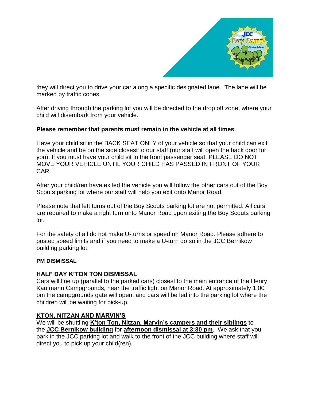

they will direct you to drive your car along a specific designated lane. The lane will be marked by traffic cones.

After driving through the parking lot you will be directed to the drop off zone, where your child will disembark from your vehicle.

#### **Please remember that parents must remain in the vehicle at all times**.

Have your child sit in the BACK SEAT ONLY of your vehicle so that your child can exit the vehicle and be on the side closest to our staff (our staff will open the back door for you). If you must have your child sit in the front passenger seat, PLEASE DO NOT MOVE YOUR VEHICLE UNTIL YOUR CHILD HAS PASSED IN FRONT OF YOUR CAR.

After your child/ren have exited the vehicle you will follow the other cars out of the Boy Scouts parking lot where our staff will help you exit onto Manor Road.

Please note that left turns out of the Boy Scouts parking lot are not permitted. All cars are required to make a right turn onto Manor Road upon exiting the Boy Scouts parking lot.

For the safety of all do not make U-turns or speed on Manor Road. Please adhere to posted speed limits and if you need to make a U-turn do so in the JCC Bernikow building parking lot.

#### **PM DISMISSAL**

#### **HALF DAY K'TON TON DISMISSAL**

Cars will line up (parallel to the parked cars) closest to the main entrance of the Henry Kaufmann Campgrounds, near the traffic light on Manor Road. At approximately 1:00 pm the campgrounds gate will open, and cars will be led into the parking lot where the children will be waiting for pick-up.

#### **KTON, NITZAN AND MARVIN'S**

We will be shuttling **K'ton Ton, Nitzan, Marvin's campers and their siblings** to the **JCC Bernikow building** for **afternoon dismissal at 3:30 pm**. We ask that you park in the JCC parking lot and walk to the front of the JCC building where staff will direct you to pick up your child(ren).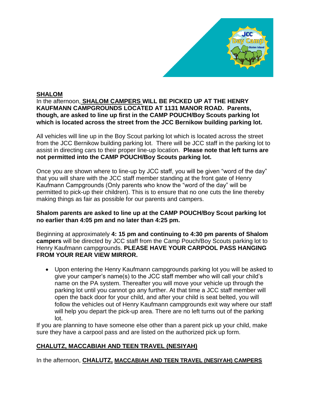

#### **SHALOM**

In the afternoon, **SHALOM CAMPERS WILL BE PICKED UP AT THE HENRY KAUFMANN CAMPGROUNDS LOCATED AT 1131 MANOR ROAD. Parents, though, are asked to line up first in the CAMP POUCH/Boy Scouts parking lot which is located across the street from the JCC Bernikow building parking lot.**

All vehicles will line up in the Boy Scout parking lot which is located across the street from the JCC Bernikow building parking lot. There will be JCC staff in the parking lot to assist in directing cars to their proper line-up location. **Please note that left turns are not permitted into the CAMP POUCH/Boy Scouts parking lot.**

Once you are shown where to line-up by JCC staff, you will be given "word of the day" that you will share with the JCC staff member standing at the front gate of Henry Kaufmann Campgrounds (Only parents who know the "word of the day" will be permitted to pick-up their children). This is to ensure that no one cuts the line thereby making things as fair as possible for our parents and campers.

#### **Shalom parents are asked to line up at the CAMP POUCH/Boy Scout parking lot no earlier than 4:05 pm and no later than 4:25 pm.**

Beginning at approximately **4: 15 pm and continuing to 4:30 pm parents of Shalom campers** will be directed by JCC staff from the Camp Pouch/Boy Scouts parking lot to Henry Kaufmann campgrounds. **PLEASE HAVE YOUR CARPOOL PASS HANGING FROM YOUR REAR VIEW MIRROR.**

• Upon entering the Henry Kaufmann campgrounds parking lot you will be asked to give your camper's name(s) to the JCC staff member who will call your child's name on the PA system. Thereafter you will move your vehicle up through the parking lot until you cannot go any further. At that time a JCC staff member will open the back door for your child, and after your child is seat belted, you will follow the vehicles out of Henry Kaufmann campgrounds exit way where our staff will help you depart the pick-up area. There are no left turns out of the parking lot.

If you are planning to have someone else other than a parent pick up your child, make sure they have a carpool pass and are listed on the authorized pick up form.

# **CHALUTZ, MACCABIAH AND TEEN TRAVEL (NESIYAH)**

In the afternoon, **CHALUTZ, MACCABIAH AND TEEN TRAVEL (NESIYAH) CAMPERS**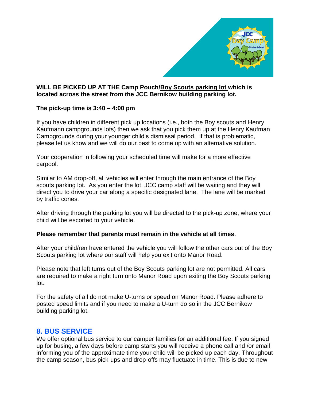

#### **WILL BE PICKED UP AT THE Camp Pouch/Boy Scouts parking lot which is located across the street from the JCC Bernikow building parking lot.**

#### **The pick-up time is 3:40 – 4:00 pm**

If you have children in different pick up locations (i.e., both the Boy scouts and Henry Kaufmann campgrounds lots) then we ask that you pick them up at the Henry Kaufman Campgrounds during your younger child's dismissal period. If that is problematic, please let us know and we will do our best to come up with an alternative solution.

Your cooperation in following your scheduled time will make for a more effective carpool.

Similar to AM drop-off, all vehicles will enter through the main entrance of the Boy scouts parking lot. As you enter the lot, JCC camp staff will be waiting and they will direct you to drive your car along a specific designated lane. The lane will be marked by traffic cones.

After driving through the parking lot you will be directed to the pick-up zone, where your child will be escorted to your vehicle.

#### **Please remember that parents must remain in the vehicle at all times**.

After your child/ren have entered the vehicle you will follow the other cars out of the Boy Scouts parking lot where our staff will help you exit onto Manor Road.

Please note that left turns out of the Boy Scouts parking lot are not permitted. All cars are required to make a right turn onto Manor Road upon exiting the Boy Scouts parking lot.

For the safety of all do not make U-turns or speed on Manor Road. Please adhere to posted speed limits and if you need to make a U-turn do so in the JCC Bernikow building parking lot.

# **8. BUS SERVICE**

We offer optional bus service to our camper families for an additional fee. If you signed up for busing, a few days before camp starts you will receive a phone call and /or email informing you of the approximate time your child will be picked up each day. Throughout the camp season, bus pick-ups and drop-offs may fluctuate in time. This is due to new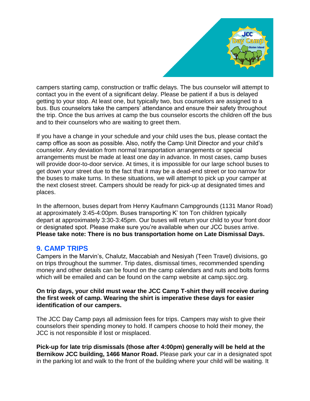

campers starting camp, construction or traffic delays. The bus counselor will attempt to contact you in the event of a significant delay. Please be patient if a bus is delayed getting to your stop. At least one, but typically two, bus counselors are assigned to a bus. Bus counselors take the campers' attendance and ensure their safety throughout the trip. Once the bus arrives at camp the bus counselor escorts the children off the bus and to their counselors who are waiting to greet them.

If you have a change in your schedule and your child uses the bus, please contact the camp office as soon as possible. Also, notify the Camp Unit Director and your child's counselor. Any deviation from normal transportation arrangements or special arrangements must be made at least one day in advance. In most cases, camp buses will provide door-to-door service. At times, it is impossible for our large school buses to get down your street due to the fact that it may be a dead-end street or too narrow for the buses to make turns. In these situations, we will attempt to pick up your camper at the next closest street. Campers should be ready for pick-up at designated times and places.

In the afternoon, buses depart from Henry Kaufmann Campgrounds (1131 Manor Road) at approximately 3:45-4:00pm. Buses transporting K' ton Ton children typically depart at approximately 3:30-3:45pm. Our buses will return your child to your front door or designated spot. Please make sure you're available when our JCC buses arrive. **Please take note: There is no bus transportation home on Late Dismissal Days.**

# **9. CAMP TRIPS**

Campers in the Marvin's, Chalutz, Maccabiah and Nesiyah (Teen Travel) divisions, go on trips throughout the summer. Trip dates, dismissal times, recommended spending money and other details can be found on the camp calendars and nuts and bolts forms which will be emailed and can be found on the camp website at camp.sijcc.org.

#### **On trip days, your child must wear the JCC Camp T-shirt they will receive during the first week of camp. Wearing the shirt is imperative these days for easier identification of our campers.**

The JCC Day Camp pays all admission fees for trips. Campers may wish to give their counselors their spending money to hold. If campers choose to hold their money, the JCC is not responsible if lost or misplaced.

**Pick-up for late trip dismissals (those after 4:00pm) generally will be held at the Bernikow JCC building, 1466 Manor Road.** Please park your car in a designated spot in the parking lot and walk to the front of the building where your child will be waiting. It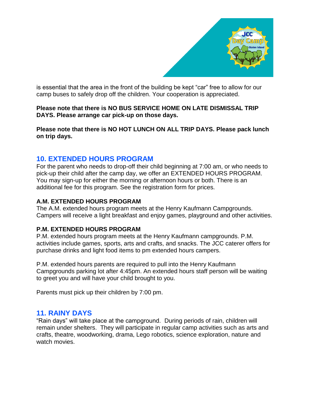

is essential that the area in the front of the building be kept "car" free to allow for our camp buses to safely drop off the children. Your cooperation is appreciated.

**Please note that there is NO BUS SERVICE HOME ON LATE DISMISSAL TRIP DAYS. Please arrange car pick-up on those days.**

**Please note that there is NO HOT LUNCH ON ALL TRIP DAYS. Please pack lunch on trip days.**

# **10. EXTENDED HOURS PROGRAM**

For the parent who needs to drop-off their child beginning at 7:00 am, or who needs to pick-up their child after the camp day, we offer an EXTENDED HOURS PROGRAM. You may sign-up for either the morning or afternoon hours or both. There is an additional fee for this program. See the registration form for prices.

#### **A.M. EXTENDED HOURS PROGRAM**

The A.M. extended hours program meets at the Henry Kaufmann Campgrounds. Campers will receive a light breakfast and enjoy games, playground and other activities.

#### **P.M. EXTENDED HOURS PROGRAM**

P.M. extended hours program meets at the Henry Kaufmann campgrounds. P.M. activities include games, sports, arts and crafts, and snacks. The JCC caterer offers for purchase drinks and light food items to pm extended hours campers.

P.M. extended hours parents are required to pull into the Henry Kaufmann Campgrounds parking lot after 4:45pm. An extended hours staff person will be waiting to greet you and will have your child brought to you.

Parents must pick up their children by 7:00 pm.

# **11. RAINY DAYS**

"Rain days" will take place at the campground. During periods of rain, children will remain under shelters. They will participate in regular camp activities such as arts and crafts, theatre, woodworking, drama, Lego robotics, science exploration, nature and watch movies.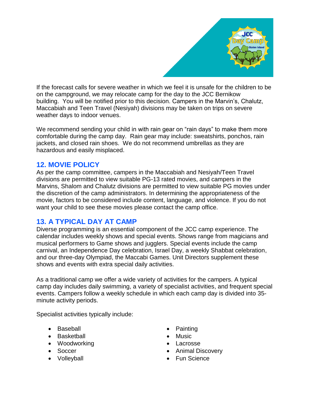

If the forecast calls for severe weather in which we feel it is unsafe for the children to be on the campground, we may relocate camp for the day to the JCC Bernikow building. You will be notified prior to this decision. Campers in the Marvin's, Chalutz, Maccabiah and Teen Travel (Nesiyah) divisions may be taken on trips on severe weather days to indoor venues.

We recommend sending your child in with rain gear on "rain days" to make them more comfortable during the camp day. Rain gear may include: sweatshirts, ponchos, rain jackets, and closed rain shoes. We do not recommend umbrellas as they are hazardous and easily misplaced.

# **12. MOVIE POLICY**

As per the camp committee, campers in the Maccabiah and Nesiyah/Teen Travel divisions are permitted to view suitable PG-13 rated movies, and campers in the Marvins, Shalom and Chalutz divisions are permitted to view suitable PG movies under the discretion of the camp administrators. In determining the appropriateness of the movie, factors to be considered include content, language, and violence. If you do not want your child to see these movies please contact the camp office.

# **13. A TYPICAL DAY AT CAMP**

Diverse programming is an essential component of the JCC camp experience. The calendar includes weekly shows and special events. Shows range from magicians and musical performers to Game shows and jugglers. Special events include the camp carnival, an Independence Day celebration, Israel Day, a weekly Shabbat celebration, and our three-day Olympiad, the Maccabi Games. Unit Directors supplement these shows and events with extra special daily activities.

As a traditional camp we offer a wide variety of activities for the campers. A typical camp day includes daily swimming, a variety of specialist activities, and frequent special events. Campers follow a weekly schedule in which each camp day is divided into 35 minute activity periods.

Specialist activities typically include:

- Baseball
- Basketball
- Woodworking
- Soccer
- Volleyball
- Painting
- Music
- Lacrosse
- Animal Discovery
- Fun Science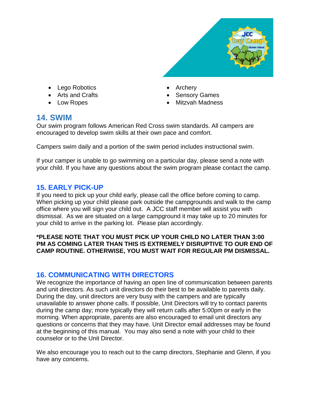

- Lego Robotics
- Arts and Crafts
- Low Ropes
- Archery
- Sensory Games
- Mitzvah Madness

# **14. SWIM**

Our swim program follows American Red Cross swim standards. All campers are encouraged to develop swim skills at their own pace and comfort.

Campers swim daily and a portion of the swim period includes instructional swim.

If your camper is unable to go swimming on a particular day, please send a note with your child. If you have any questions about the swim program please contact the camp.

# **15. EARLY PICK-UP**

If you need to pick up your child early, please call the office before coming to camp. When picking up your child please park outside the campgrounds and walk to the camp office where you will sign your child out. A JCC staff member will assist you with dismissal. As we are situated on a large campground it may take up to 20 minutes for your child to arrive in the parking lot. Please plan accordingly.

#### **\*PLEASE NOTE THAT YOU MUST PICK UP YOUR CHILD NO LATER THAN 3:00 PM AS COMING LATER THAN THIS IS EXTREMELY DISRUPTIVE TO OUR END OF CAMP ROUTINE. OTHERWISE, YOU MUST WAIT FOR REGULAR PM DISMISSAL.**

# **16. COMMUNICATING WITH DIRECTORS**

We recognize the importance of having an open line of communication between parents and unit directors. As such unit directors do their best to be available to parents daily. During the day, unit directors are very busy with the campers and are typically unavailable to answer phone calls. If possible, Unit Directors will try to contact parents during the camp day; more typically they will return calls after 5:00pm or early in the morning. When appropriate, parents are also encouraged to email unit directors any questions or concerns that they may have. Unit Director email addresses may be found at the beginning of this manual. You may also send a note with your child to their counselor or to the Unit Director.

We also encourage you to reach out to the camp directors, Stephanie and Glenn, if you have any concerns.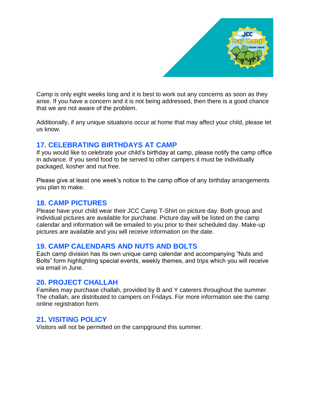

Camp is only eight weeks long and it is best to work out any concerns as soon as they arise. If you have a concern and it is not being addressed, then there is a good chance that we are not aware of the problem.

Additionally, if any unique situations occur at home that may affect your child, please let us know.

# **17. CELEBRATING BIRTHDAYS AT CAMP**

If you would like to celebrate your child's birthday at camp, please notify the camp office in advance. If you send food to be served to other campers it must be individually packaged, kosher and nut free.

Please give at least one week's notice to the camp office of any birthday arrangements you plan to make.

# **18. CAMP PICTURES**

Please have your child wear their JCC Camp T-Shirt on picture day. Both group and individual pictures are available for purchase. Picture day will be listed on the camp calendar and information will be emailed to you prior to their scheduled day. Make-up pictures are available and you will receive information on the date.

# **19. CAMP CALENDARS AND NUTS AND BOLTS**

Each camp division has its own unique camp calendar and accompanying "Nuts and Bolts" form highlighting special events, weekly themes, and trips which you will receive via email in June.

# **20. PROJECT CHALLAH**

Families may purchase challah, provided by B and Y caterers throughout the summer. The challah, are distributed to campers on Fridays. For more information see the camp online registration form.

# **21. VISITING POLICY**

Visitors will not be permitted on the campground this summer.